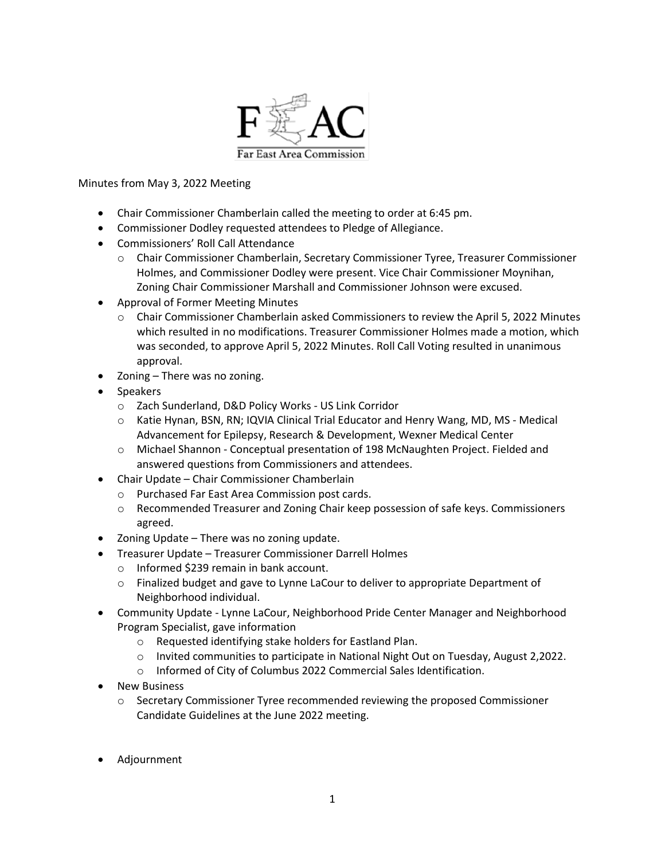

## Minutes from May 3, 2022 Meeting

- Chair Commissioner Chamberlain called the meeting to order at 6:45 pm.
- Commissioner Dodley requested attendees to Pledge of Allegiance.
- Commissioners' Roll Call Attendance
	- o Chair Commissioner Chamberlain, Secretary Commissioner Tyree, Treasurer Commissioner Holmes, and Commissioner Dodley were present. Vice Chair Commissioner Moynihan, Zoning Chair Commissioner Marshall and Commissioner Johnson were excused.
- Approval of Former Meeting Minutes
	- o Chair Commissioner Chamberlain asked Commissioners to review the April 5, 2022 Minutes which resulted in no modifications. Treasurer Commissioner Holmes made a motion, which was seconded, to approve April 5, 2022 Minutes. Roll Call Voting resulted in unanimous approval.
- Zoning There was no zoning.
- Speakers
	- o Zach Sunderland, D&D Policy Works US Link Corridor
	- $\circ$  Katie Hynan, BSN, RN; IQVIA Clinical Trial Educator and Henry Wang, MD, MS Medical Advancement for Epilepsy, Research & Development, Wexner Medical Center
	- o Michael Shannon Conceptual presentation of 198 McNaughten Project. Fielded and answered questions from Commissioners and attendees.
- Chair Update Chair Commissioner Chamberlain
	- o Purchased Far East Area Commission post cards.
	- $\circ$  Recommended Treasurer and Zoning Chair keep possession of safe keys. Commissioners agreed.
- Zoning Update There was no zoning update.
	- Treasurer Update Treasurer Commissioner Darrell Holmes
		- o Informed \$239 remain in bank account.
		- o Finalized budget and gave to Lynne LaCour to deliver to appropriate Department of Neighborhood individual.
- Community Update Lynne LaCour, Neighborhood Pride Center Manager and Neighborhood Program Specialist, gave information
	- o Requested identifying stake holders for Eastland Plan.
	- o Invited communities to participate in National Night Out on Tuesday, August 2,2022.
	- o Informed of City of Columbus 2022 Commercial Sales Identification.
- **New Business** 
	- $\circ$  Secretary Commissioner Tyree recommended reviewing the proposed Commissioner Candidate Guidelines at the June 2022 meeting.
- Adjournment